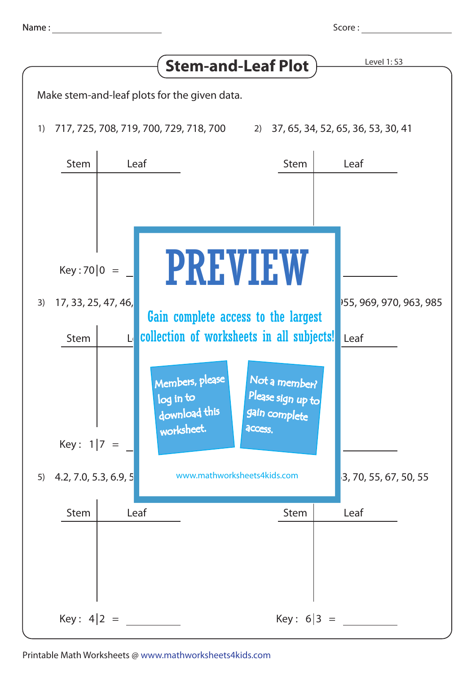

Key : 4 2 = Key : 6 3 =